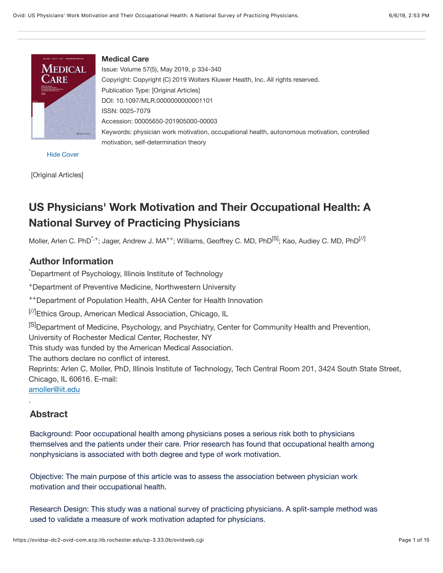<span id="page-0-0"></span>

**Medical Care** Issue: Volume 57(5), May 2019, p 334-340 Copyright: Copyright (C) 2019 Wolters Kluwer Health, Inc. All rights reserved. Publication Type: [Original Articles] DOI: 10.1097/MLR.0000000000001101 ISSN: 0025-7079 Accession: 00005650-201905000-00003 Keywords: physician work motivation, occupational health, autonomous motivation, controlled motivation, self-determination theory

[Hide Cover](https://ovidsp-dc2-ovid-com.ezp.lib.rochester.edu/sp-3.33.0b/ovidweb.cgi?&S=HHEDFPPJOKEBGALNIPDKNHOGLOIOAA00&Full+Text=L%7cS.sh.32.33%7c0%7c00005650-201905000-00003&cover=hide)

[Original Articles]

# **US Physicians' Work Motivation and Their Occupational Health: A National Survey of Practicing Physicians**

Moller, Arlen C. PhD<sup>\*,+</sup>; Jager, Andrew J. MA<sup>++</sup>; Williams, Geoffrey C. MD, PhD<sup>[S]</sup>; Kao, Audiey C. MD, PhD<sup>[//]</sup>

### **Author Information**

\* Department of Psychology, Illinois Institute of Technology

+Department of Preventive Medicine, Northwestern University

++Department of Population Health, AHA Center for Health Innovation

[/]Ethics Group, American Medical Association, Chicago, IL

<sup>[S]</sup>Department of Medicine, Psychology, and Psychiatry, Center for Community Health and Prevention,

University of Rochester Medical Center, Rochester, NY

This study was funded by the American Medical Association.

The authors declare no conflict of interest.

Reprints: Arlen C. Moller, PhD, Illinois Institute of Technology, Tech Central Room 201, 3424 South State Street, Chicago, IL 60616. E-mail:

[amoller@iit.edu](mailto:amoller@iit.edu)

### **Abstract**

.

Background: Poor occupational health among physicians poses a serious risk both to physicians themselves and the patients under their care. Prior research has found that occupational health among nonphysicians is associated with both degree and type of work motivation.

Objective: The main purpose of this article was to assess the association between physician work motivation and their occupational health.

Research Design: This study was a national survey of practicing physicians. A split-sample method was used to validate a measure of work motivation adapted for physicians.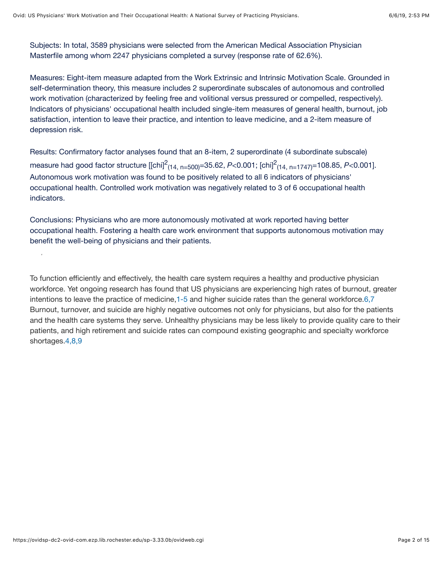Subjects: In total, 3589 physicians were selected from the American Medical Association Physician Masterfile among whom 2247 physicians completed a survey (response rate of 62.6%).

Measures: Eight-item measure adapted from the Work Extrinsic and Intrinsic Motivation Scale. Grounded in self-determination theory, this measure includes 2 superordinate subscales of autonomous and controlled work motivation (characterized by feeling free and volitional versus pressured or compelled, respectively). Indicators of physicians' occupational health included single-item measures of general health, burnout, job satisfaction, intention to leave their practice, and intention to leave medicine, and a 2-item measure of depression risk.

Results: Confirmatory factor analyses found that an 8-item, 2 superordinate (4 subordinate subscale) measure had good factor structure [[chi]<sup>2</sup><sub>(14, n=500)</sub>=35.62, *P*<0.001; [chi]<sup>2</sup><sub>(14, n=1747)</sub>=108.85, *P*<0.001]. Autonomous work motivation was found to be positively related to all 6 indicators of physicians' occupational health. Controlled work motivation was negatively related to 3 of 6 occupational health indicators.

Conclusions: Physicians who are more autonomously motivated at work reported having better occupational health. Fostering a health care work environment that supports autonomous motivation may benefit the well-being of physicians and their patients.

<span id="page-1-0"></span>To function efficiently and effectively, the health care system requires a healthy and productive physician workforce. Yet ongoing research has found that US physicians are experiencing high rates of burnout, greater intentions to leave the practice of medicine,[1-5](#page-10-0) and higher suicide rates than the general workforce[.6,7](#page-11-0) Burnout, turnover, and suicide are highly negative outcomes not only for physicians, but also for the patients and the health care systems they serve. Unhealthy physicians may be less likely to provide quality care to their patients, and high retirement and suicide rates can compound existing geographic and specialty workforce shortages[.4,8,9](#page-11-1)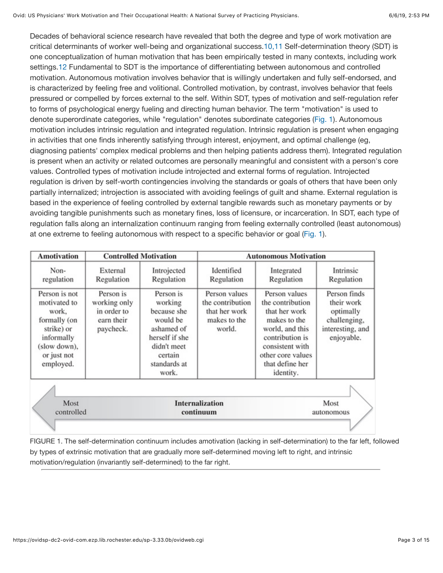<span id="page-2-0"></span>Decades of behavioral science research have revealed that both the degree and type of work motivation are critical determinants of worker well-being and organizational success.[10,11](#page-11-2) Self-determination theory (SDT) is one conceptualization of human motivation that has been empirically tested in many contexts, including work settings.[12](#page-11-3) Fundamental to SDT is the importance of differentiating between autonomous and controlled motivation. Autonomous motivation involves behavior that is willingly undertaken and fully self-endorsed, and is characterized by feeling free and volitional. Controlled motivation, by contrast, involves behavior that feels pressured or compelled by forces external to the self. Within SDT, types of motivation and self-regulation refer to forms of psychological energy fueling and directing human behavior. The term "motivation" is used to denote superordinate categories, while "regulation" denotes subordinate categories ([Fig. 1](https://ovidsp-dc2-ovid-com.ezp.lib.rochester.edu/sp-3.33.0b/ovidweb.cgi#FF1)). Autonomous motivation includes intrinsic regulation and integrated regulation. Intrinsic regulation is present when engaging in activities that one finds inherently satisfying through interest, enjoyment, and optimal challenge (eg, diagnosing patients' complex medical problems and then helping patients address them). Integrated regulation is present when an activity or related outcomes are personally meaningful and consistent with a person's core values. Controlled types of motivation include introjected and external forms of regulation. Introjected regulation is driven by self-worth contingencies involving the standards or goals of others that have been only partially internalized; introjection is associated with avoiding feelings of guilt and shame. External regulation is based in the experience of feeling controlled by external tangible rewards such as monetary payments or by avoiding tangible punishments such as monetary fines, loss of licensure, or incarceration. In SDT, each type of regulation falls along an internalization continuum ranging from feeling externally controlled (least autonomous) at one extreme to feeling autonomous with respect to a specific behavior or goal [\(Fig. 1](https://ovidsp-dc2-ovid-com.ezp.lib.rochester.edu/sp-3.33.0b/ovidweb.cgi#FF1)).

| <b>Amotivation</b>                                                                                                             | <b>Controlled Motivation</b>                                        |                                                                                                                                    |                                                                              | <b>Autonomous Motivation</b>                                                                                                                                                     |                                                                                           |
|--------------------------------------------------------------------------------------------------------------------------------|---------------------------------------------------------------------|------------------------------------------------------------------------------------------------------------------------------------|------------------------------------------------------------------------------|----------------------------------------------------------------------------------------------------------------------------------------------------------------------------------|-------------------------------------------------------------------------------------------|
| Non-<br>regulation                                                                                                             | External<br>Regulation                                              | Introjected<br>Regulation                                                                                                          | Identified<br>Regulation                                                     | Integrated<br>Regulation                                                                                                                                                         | Intrinsic<br>Regulation                                                                   |
| Person is not<br>motivated to<br>work,<br>formally (on<br>strike) or<br>informally<br>(slow down),<br>or just not<br>employed. | Person is<br>working only<br>in order to<br>earn their<br>paycheck. | Person is<br>working<br>because she<br>would be<br>ashamed of<br>herself if she<br>didn't meet<br>certain<br>standards at<br>work. | Person values<br>the contribution<br>that her work<br>makes to the<br>world. | Person values<br>the contribution<br>that her work<br>makes to the<br>world, and this<br>contribution is<br>consistent with<br>other core values<br>that define her<br>identity. | Person finds<br>their work<br>optimally<br>challenging,<br>interesting, and<br>enjoyable. |
|                                                                                                                                |                                                                     |                                                                                                                                    |                                                                              |                                                                                                                                                                                  |                                                                                           |
| Most<br>controlled                                                                                                             |                                                                     |                                                                                                                                    | <b>Internalization</b><br>continuum                                          |                                                                                                                                                                                  | Most<br>autonomous                                                                        |
|                                                                                                                                |                                                                     |                                                                                                                                    |                                                                              |                                                                                                                                                                                  |                                                                                           |

FIGURE 1. The self-determination continuum includes amotivation (lacking in self-determination) to the far left, followed by types of extrinsic motivation that are gradually more self-determined moving left to right, and intrinsic motivation/regulation (invariantly self-determined) to the far right.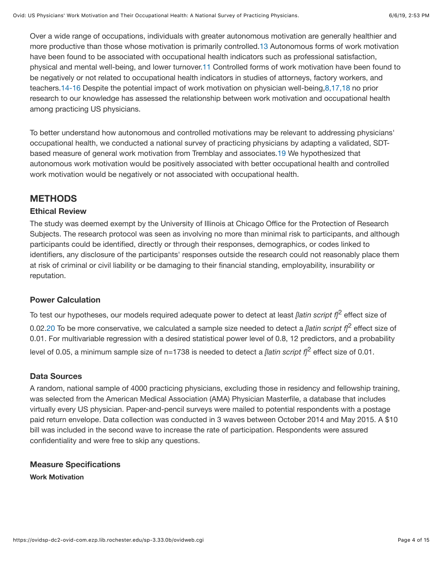<span id="page-3-0"></span>Over a wide range of occupations, individuals with greater autonomous motivation are generally healthier and more productive than those whose motivation is primarily controlled[.13](#page-11-4) Autonomous forms of work motivation have been found to be associated with occupational health indicators such as professional satisfaction, physical and mental well-being, and lower turnover[.11](#page-11-5) Controlled forms of work motivation have been found to be negatively or not related to occupational health indicators in studies of attorneys, factory workers, and teachers[.14-16](#page-11-6) Despite the potential impact of work motivation on physician well-being[,8,17,18](#page-11-7) no prior research to our knowledge has assessed the relationship between work motivation and occupational health among practicing US physicians.

<span id="page-3-1"></span>To better understand how autonomous and controlled motivations may be relevant to addressing physicians' occupational health, we conducted a national survey of practicing physicians by adapting a validated, SDTbased measure of general work motivation from Tremblay and associates.[19](#page-12-0) We hypothesized that autonomous work motivation would be positively associated with better occupational health and controlled work motivation would be negatively or not associated with occupational health.

## **METHODS**

### **Ethical Review**

The study was deemed exempt by the University of Illinois at Chicago Office for the Protection of Research Subjects. The research protocol was seen as involving no more than minimal risk to participants, and although participants could be identified, directly or through their responses, demographics, or codes linked to identifiers, any disclosure of the participants' responses outside the research could not reasonably place them at risk of criminal or civil liability or be damaging to their financial standing, employability, insurability or reputation.

### **Power Calculation**

<span id="page-3-2"></span>To test our hypotheses, our models required adequate power to detect at least *[latin script f]*2 effect size of 0.02[.20](#page-12-1) To be more conservative, we calculated a sample size needed to detect a *[latin script f]*2 effect size of 0.01. For multivariable regression with a desired statistical power level of 0.8, 12 predictors, and a probability level of 0.05, a minimum sample size of n=1738 is needed to detect a *[latin script f]*2 effect size of 0.01.

### **Data Sources**

A random, national sample of 4000 practicing physicians, excluding those in residency and fellowship training, was selected from the American Medical Association (AMA) Physician Masterfile, a database that includes virtually every US physician. Paper-and-pencil surveys were mailed to potential respondents with a postage paid return envelope. Data collection was conducted in 3 waves between October 2014 and May 2015. A \$10 bill was included in the second wave to increase the rate of participation. Respondents were assured confidentiality and were free to skip any questions.

**Measure Specifications Work Motivation**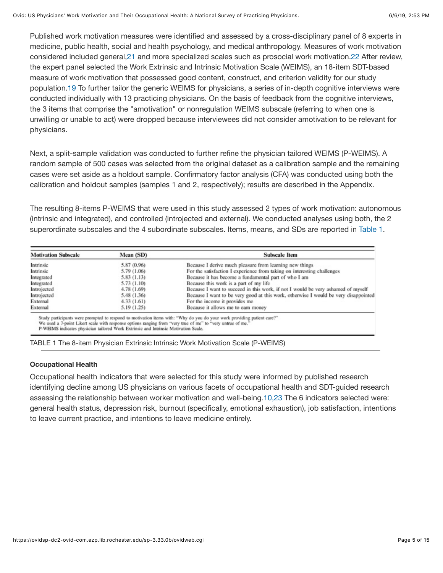<span id="page-4-0"></span>Published work motivation measures were identified and assessed by a cross-disciplinary panel of 8 experts in medicine, public health, social and health psychology, and medical anthropology. Measures of work motivation considered included general,[21](#page-12-2) and more specialized scales such as prosocial work motivation[.22](#page-12-3) After review, the expert panel selected the Work Extrinsic and Intrinsic Motivation Scale (WEIMS), an 18-item SDT-based measure of work motivation that possessed good content, construct, and criterion validity for our study population.[19](#page-12-0) To further tailor the generic WEIMS for physicians, a series of in-depth cognitive interviews were conducted individually with 13 practicing physicians. On the basis of feedback from the cognitive interviews, the 3 items that comprise the "amotivation" or nonregulation WEIMS subscale (referring to when one is unwilling or unable to act) were dropped because interviewees did not consider amotivation to be relevant for physicians.

Next, a split-sample validation was conducted to further refine the physician tailored WEIMS (P-WEIMS). A random sample of 500 cases was selected from the original dataset as a calibration sample and the remaining cases were set aside as a holdout sample. Confirmatory factor analysis (CFA) was conducted using both the calibration and holdout samples (samples 1 and 2, respectively); results are described in the Appendix.

The resulting 8-items P-WEIMS that were used in this study assessed 2 types of work motivation: autonomous (intrinsic and integrated), and controlled (introjected and external). We conducted analyses using both, the 2 superordinate subscales and the 4 subordinate subscales. Items, means, and SDs are reported in [Table 1](https://ovidsp-dc2-ovid-com.ezp.lib.rochester.edu/sp-3.33.0b/ovidweb.cgi#TT1).

| <b>Motivation Subscale</b> | Mean (SD)                                                                           | Subscale Item                                                                                                                                                                                                                          |
|----------------------------|-------------------------------------------------------------------------------------|----------------------------------------------------------------------------------------------------------------------------------------------------------------------------------------------------------------------------------------|
| Intrinsic                  | 5.87 (0.96)                                                                         | Because I derive much pleasure from learning new things                                                                                                                                                                                |
| Intrinsic                  | 5.79 (1.06)                                                                         | For the satisfaction I experience from taking on interesting challenges                                                                                                                                                                |
| Integrated                 | 5.83 (1.13)                                                                         | Because it has become a fundamental part of who I am                                                                                                                                                                                   |
| Integrated                 | 5.73 (1.10)                                                                         | Because this work is a part of my life                                                                                                                                                                                                 |
| Introjected                | 4.78 (1.69)                                                                         | Because I want to succeed in this work, if not I would be very ashamed of myself                                                                                                                                                       |
| Introjected                | 5.48 (1.36)                                                                         | Because I want to be very good at this work, otherwise I would be very disappointed                                                                                                                                                    |
| External                   | 4.33 (1.61)                                                                         | For the income it provides me                                                                                                                                                                                                          |
| External                   | 5.19 (1.25)                                                                         | Because it allows me to earn money                                                                                                                                                                                                     |
|                            | P-WEIMS indicates physician tailored Work Extrinsic and Intrinsic Motivation Scale. | Study participants were prompted to respond to motivation items with: "Why do you do your work providing patient care?"<br>We used a 7-point Likert scale with response options ranging from "very true of me" to "very untrue of me." |

| TABLE 1 The 8-item Physician Extrinsic Intrinsic Work Motivation Scale (P-WEIMS) |  |  |  |  |
|----------------------------------------------------------------------------------|--|--|--|--|
|----------------------------------------------------------------------------------|--|--|--|--|

#### **Occupational Health**

<span id="page-4-1"></span>Occupational health indicators that were selected for this study were informed by published research identifying decline among US physicians on various facets of occupational health and SDT-guided research assessing the relationship between worker motivation and well-being[.10,23](#page-11-2) The 6 indicators selected were: general health status, depression risk, burnout (specifically, emotional exhaustion), job satisfaction, intentions to leave current practice, and intentions to leave medicine entirely.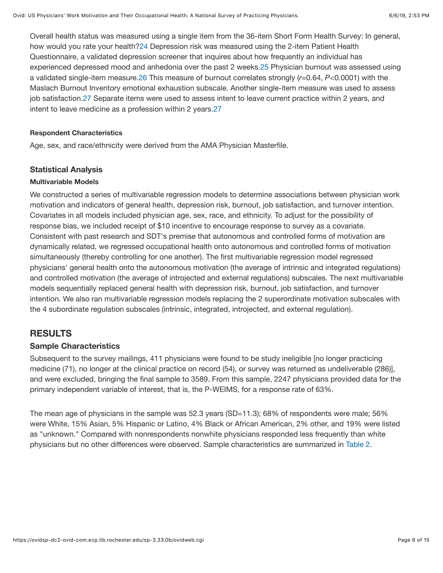<span id="page-5-0"></span>Overall health status was measured using a single item from the 36-item Short Form Health Survey: In general, how would you rate your health?[24](#page-12-4) Depression risk was measured using the 2-item Patient Health Questionnaire, a validated depression screener that inquires about how frequently an individual has experienced depressed mood and anhedonia over the past 2 weeks.[25](#page-12-5) Physician burnout was assessed using a validated single-item measure.[26](#page-12-6) This measure of burnout correlates strongly (*r*=0.64, *P<*0.0001) with the Maslach Burnout Inventory emotional exhaustion subscale. Another single-item measure was used to assess job satisfaction.[27](#page-12-7) Separate items were used to assess intent to leave current practice within 2 years, and intent to leave medicine as a profession within 2 years[.27](#page-12-7)

#### **Respondent Characteristics**

Age, sex, and race/ethnicity were derived from the AMA Physician Masterfile.

#### **Statistical Analysis**

#### **Multivariable Models**

We constructed a series of multivariable regression models to determine associations between physician work motivation and indicators of general health, depression risk, burnout, job satisfaction, and turnover intention. Covariates in all models included physician age, sex, race, and ethnicity. To adjust for the possibility of response bias, we included receipt of \$10 incentive to encourage response to survey as a covariate. Consistent with past research and SDT's premise that autonomous and controlled forms of motivation are dynamically related, we regressed occupational health onto autonomous and controlled forms of motivation simultaneously (thereby controlling for one another). The first multivariable regression model regressed physicians' general health onto the autonomous motivation (the average of intrinsic and integrated regulations) and controlled motivation (the average of introjected and external regulations) subscales. The next multivariable models sequentially replaced general health with depression risk, burnout, job satisfaction, and turnover intention. We also ran multivariable regression models replacing the 2 superordinate motivation subscales with the 4 subordinate regulation subscales (intrinsic, integrated, introjected, and external regulation).

### **RESULTS**

### **Sample Characteristics**

Subsequent to the survey mailings, 411 physicians were found to be study ineligible [no longer practicing medicine (71), no longer at the clinical practice on record (54), or survey was returned as undeliverable (286)], and were excluded, bringing the final sample to 3589. From this sample, 2247 physicians provided data for the primary independent variable of interest, that is, the P-WEIMS, for a response rate of 63%.

The mean age of physicians in the sample was 52.3 years (SD=11.3); 68% of respondents were male; 56% were White, 15% Asian, 5% Hispanic or Latino, 4% Black or African American, 2% other, and 19% were listed as "unknown." Compared with nonrespondents nonwhite physicians responded less frequently than white physicians but no other differences were observed. Sample characteristics are summarized in [Table 2](https://ovidsp-dc2-ovid-com.ezp.lib.rochester.edu/sp-3.33.0b/ovidweb.cgi#TT2).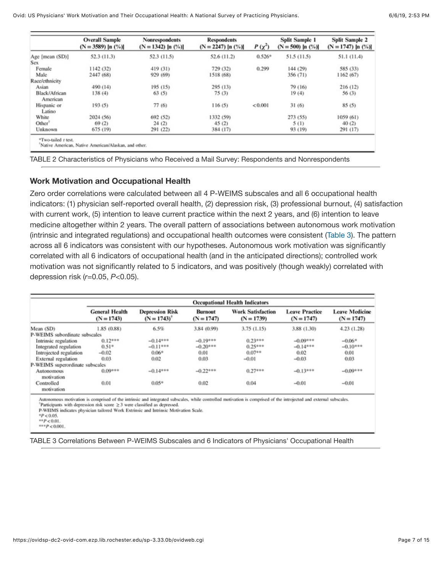|                           | <b>Overall Sample</b><br>$(N = 3589)$ [n $(\%)$ ] | Nonrespondents<br>$(N = 1342)$ [n $(\%)$ ] | <b>Respondents</b><br>$(N = 2247)$ [n $(\%)$ ] | $P(\chi^2)$ | <b>Split Sample 1</b><br>$(N = 500)$ [n $(\%)$ ] | <b>Split Sample 2</b><br>$(N = 1747)$ [n $(\%)$ ] |
|---------------------------|---------------------------------------------------|--------------------------------------------|------------------------------------------------|-------------|--------------------------------------------------|---------------------------------------------------|
| Age [mean (SD)]           | 52.3 (11.3)                                       | 52.3 (11.5)                                | 52.6 (11.2)                                    | $0.526*$    | 51.5 (11.5)                                      | 51.1 (11.4)                                       |
| Sex                       |                                                   |                                            |                                                |             |                                                  |                                                   |
| Female                    | 1142 (32)                                         | 419 (31)                                   | 729 (32)                                       | 0.299       | 144 (29)                                         | 585 (33)                                          |
| Male                      | 2447 (68)                                         | 929 (69)                                   | 1518 (68)                                      |             | 356 (71)                                         | 1162 (67)                                         |
| Race/ethnicity            |                                                   |                                            |                                                |             |                                                  |                                                   |
| Asian                     | 490 (14)                                          | 195 (15)                                   | 295 (13)                                       |             | 79 (16)                                          | 216(12)                                           |
| Black/African<br>American | 138(4)                                            | 63(5)                                      | 75(3)                                          |             | 19(4)                                            | 56(3)                                             |
| Hispanic or<br>Latino     | 193(5)                                            | 77(6)                                      | 116(5)                                         | < 0.001     | 31(6)                                            | 85(5)                                             |
| White                     | 2024 (56)                                         | 692 (52)                                   | 1332 (59)                                      |             | 273 (55)                                         | 1059 (61)                                         |
| Other <sup>7</sup>        | 69(2)                                             | 24(2)                                      | 45(2)                                          |             | 5(1)                                             | 40(2)                                             |
| Unknown                   | 675 (19)                                          | 291 (22)                                   | 384 (17)                                       |             | 93 (19)                                          | 291 (17)                                          |

TABLE 2 Characteristics of Physicians who Received a Mail Survey: Respondents and Nonrespondents

### **Work Motivation and Occupational Health**

Zero order correlations were calculated between all 4 P-WEIMS subscales and all 6 occupational health indicators: (1) physician self-reported overall health, (2) depression risk, (3) professional burnout, (4) satisfaction with current work, (5) intention to leave current practice within the next 2 years, and (6) intention to leave medicine altogether within 2 years. The overall pattern of associations between autonomous work motivation (intrinsic and integrated regulations) and occupational health outcomes were consistent [\(Table 3](https://ovidsp-dc2-ovid-com.ezp.lib.rochester.edu/sp-3.33.0b/ovidweb.cgi#TT3)). The pattern across all 6 indicators was consistent with our hypotheses. Autonomous work motivation was significantly correlated with all 6 indicators of occupational health (and in the anticipated directions); controlled work motivation was not significantly related to 5 indicators, and was positively (though weakly) correlated with depression risk (*r*=0.05, *P<*0.05).

|                                 | <b>Occupational Health Indicators</b> |                                            |                                |                                          |                                       |                                       |  |
|---------------------------------|---------------------------------------|--------------------------------------------|--------------------------------|------------------------------------------|---------------------------------------|---------------------------------------|--|
|                                 | <b>General Health</b><br>$(N = 1743)$ | <b>Depression Risk</b><br>$(N = 1743)^{t}$ | <b>Burnout</b><br>$(N = 1747)$ | <b>Work Satisfaction</b><br>$(N = 1739)$ | <b>Leave Practice</b><br>$(N = 1747)$ | <b>Leave Medicine</b><br>$(N = 1747)$ |  |
| Mean (SD)                       | 1.85 (0.88)                           | 6.5%                                       | 3.84 (0.99)                    | 3.75(1.15)                               | 3.88 (1.30)                           | 4.23(1.28)                            |  |
| P-WEIMS subordinate subscales   |                                       |                                            |                                |                                          |                                       |                                       |  |
| Intrinsic regulation            | $0.12***$                             | $-0.14***$                                 | $-0.19***$                     | $0.23***$                                | $-0.09***$                            | $-0.06$ *                             |  |
| Integrated regulation           | $0.51*$                               | $-0.11***$                                 | $-0.20***$                     | $0.25***$                                | $-0.14***$                            | $-0.10***$                            |  |
| Introjected regulation          | $-0.02$                               | $0.06*$                                    | 0.01                           | $0.07**$                                 | 0.02                                  | 0.01                                  |  |
| External regulation             | 0.03                                  | 0.02                                       | 0.03                           | $-0.01$                                  | $-0.03$                               | 0.03                                  |  |
| P-WEIMS superordinate subscales |                                       |                                            |                                |                                          |                                       |                                       |  |
| <b>Autonomous</b><br>motivation | $0.09***$                             | $-0.14***$                                 | $-0.22***$                     | $0.27***$                                | $-0.13***$                            | $-0.09***$                            |  |
| Controlled<br>motivation        | 0.01                                  | $0.05*$                                    | 0.02                           | 0.04                                     | $-0.01$                               | $-0.01$                               |  |

Participants with depression risk score  $\geq$  3 were classified as depressed.

P-WEIMS indicates physician tailored Work Extrinsic and Intrinsic Motivation Scale.

 $^{*}P < 0.05$ .  $* p < 0.01$ 

 $***P<0.001$ .

TABLE 3 Correlations Between P-WEIMS Subscales and 6 Indicators of Physicians' Occupational Health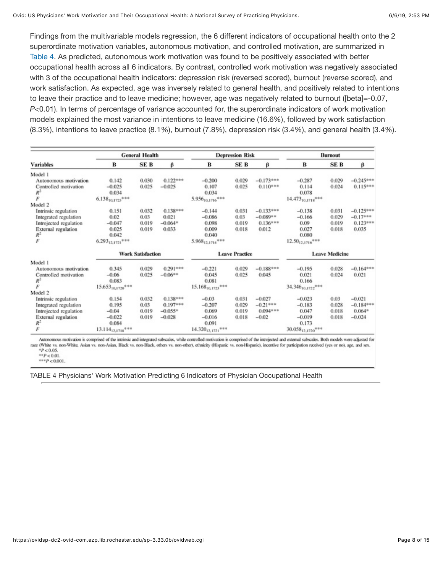Findings from the multivariable models regression, the 6 different indicators of occupational health onto the 2 superordinate motivation variables, autonomous motivation, and controlled motivation, are summarized in [Table 4](https://ovidsp-dc2-ovid-com.ezp.lib.rochester.edu/sp-3.33.0b/ovidweb.cgi#TT4). As predicted, autonomous work motivation was found to be positively associated with better occupational health across all 6 indicators. By contrast, controlled work motivation was negatively associated with 3 of the occupational health indicators: depression risk (reversed scored), burnout (reverse scored), and work satisfaction. As expected, age was inversely related to general health, and positively related to intentions to leave their practice and to leave medicine; however, age was negatively related to burnout ([beta]=-0.07, *P<*0.01). In terms of percentage of variance accounted for, the superordinate indicators of work motivation models explained the most variance in intentions to leave medicine (16.6%), followed by work satisfaction (8.3%), intentions to leave practice (8.1%), burnout (7.8%), depression risk (3.4%), and general health (3.4%).

|                        |                          | <b>General Health</b> |            |                             | <b>Depression Risk</b> |             |                        | <b>Burnout</b> |             |
|------------------------|--------------------------|-----------------------|------------|-----------------------------|------------------------|-------------|------------------------|----------------|-------------|
| <b>Variables</b>       | в                        | SE B                  | β          | B                           | SE B                   | β           | B                      | SE B           | β           |
| Model 1                |                          |                       |            |                             |                        |             |                        |                |             |
| Autonomous motivation  | 0.142                    | 0.030                 | $0.122***$ | $-0.200$                    | 0.029                  | $-0.173***$ | $-0.287$               | 0.029          | $-0.245***$ |
| Controlled motivation  | $-0.025$                 | 0.025                 | $-0.025$   | 0.107                       | 0.025                  | $0.110***$  | 0.114                  | 0.024          | $0.115***$  |
| $R^2$                  | 0.034                    |                       |            | 0.034                       |                        |             | 0.078                  |                |             |
| F                      | $6.138_{10.1723}$ ***    |                       |            | 5.95610,1716 <sup>***</sup> |                        |             | $14.473_{10,1718}$ *** |                |             |
| Model 2                |                          |                       |            |                             |                        |             |                        |                |             |
| Intrinsic regulation   | 0.151                    | 0.032                 | $0.138***$ | $-0.144$                    | 0.031                  | $-0.133***$ | $-0.138$               | 0.031          | $-0.125***$ |
| Integrated regulation  | 0.02                     | 0.03                  | 0.021      | $-0.086$                    | 0.03                   | $-0.089**$  | $-0.166$               | 0.029          | $-0.17***$  |
| Introjected regulation | $-0.047$                 | 0.019                 | $-0.064*$  | 0.098                       | 0.019                  | $0.136***$  | 0.09                   | 0.019          | $0.123***$  |
| External regulation    | 0.025                    | 0.019                 | 0.033      | 0.009                       | 0.018                  | 0.012       | 0.027                  | 0.018          | 0.035       |
| $\frac{R^2}{F}$        | 0.042                    |                       |            | 0.040                       |                        |             | 0.080                  |                |             |
|                        | $6.293_{12,1721}$ ***    |                       |            | $5.968_{12.1714}$ ***       |                        |             | $12.50_{12,1716}$ ***  |                |             |
|                        | <b>Work Satisfaction</b> |                       |            | <b>Leave Practice</b>       |                        |             | <b>Leave Medicine</b>  |                |             |
| Model 1                |                          |                       |            |                             |                        |             |                        |                |             |
| Autonomous motivation  | 0.345                    | 0.029                 | $0.291***$ | $-0.221$                    | 0.029                  | $-0.188***$ | $-0.195$               | 0.028          | $-0.164***$ |
| Controlled motivation  | $-0.06$                  | 0.025                 | $-0.06**$  | 0.045                       | 0.025                  | 0.045       | 0.021                  | 0.024          | 0.021       |
| $R^2$                  | 0.083                    |                       |            | 0.081                       |                        |             | 0.166                  |                |             |
| F                      | $15.653_{10,1720}$ ***   |                       |            | $15.168_{10,1723}$ ***      |                        |             | 34.34610,1722***       |                |             |
| Model 2                |                          |                       |            |                             |                        |             |                        |                |             |
| Intrinsic regulation   | 0.154                    | 0.032                 | $0.138***$ | $-0.03$                     | 0.031                  | $-0.027$    | $-0.023$               | 0.03           | $-0.021$    |
| Integrated regulation  | 0.195                    | 0.03                  | $0.197***$ | $-0.207$                    | 0.029                  | $-0.21***$  | $-0.183$               | 0.028          | $-0.184**$  |
| Introjected regulation | $-0.04$                  | 0.019                 | $-0.055*$  | 0.069                       | 0.019                  | $0.094***$  | 0.047                  | 0.018          | $0.064*$    |
| External regulation    | $-0.022$                 | 0.019                 | $-0.028$   | $-0.016$                    | 0.018                  | $-0.02$     | $-0.019$               | 0.018          | $-0.024$    |
| $R^2$                  | 0.084                    |                       |            | 0.091                       |                        |             | 0.173                  |                |             |
| F                      | $13.114_{12,1718}$ ***   |                       |            | $14.320_{12,1721}$ ***      |                        |             | $30.058_{12,1720}$ *** |                |             |

Autonomous motivation is comprised of the intrinsic and integrated subscales, while controlled motivation is comprised of the introjected and external subscales. Both models were adjusted for race (White vs. non-White, Asian vs. non-Asian, Black vs. non-Black, others vs. non-other), ethnicity (Hispanic vs. non-Hispanic), incentive for participation received (yes or no), age, and sex.  $^{*}P < 0.05$ .  $*$  $P$  < 0.01.

 $***P<0.001$ .

TABLE 4 Physicians' Work Motivation Predicting 6 Indicators of Physician Occupational Health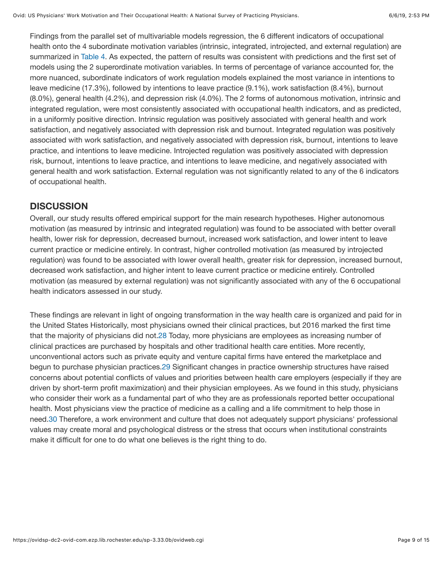Findings from the parallel set of multivariable models regression, the 6 different indicators of occupational health onto the 4 subordinate motivation variables (intrinsic, integrated, introjected, and external regulation) are summarized in [Table 4](https://ovidsp-dc2-ovid-com.ezp.lib.rochester.edu/sp-3.33.0b/ovidweb.cgi#TT4). As expected, the pattern of results was consistent with predictions and the first set of models using the 2 superordinate motivation variables. In terms of percentage of variance accounted for, the more nuanced, subordinate indicators of work regulation models explained the most variance in intentions to leave medicine (17.3%), followed by intentions to leave practice (9.1%), work satisfaction (8.4%), burnout (8.0%), general health (4.2%), and depression risk (4.0%). The 2 forms of autonomous motivation, intrinsic and integrated regulation, were most consistently associated with occupational health indicators, and as predicted, in a uniformly positive direction. Intrinsic regulation was positively associated with general health and work satisfaction, and negatively associated with depression risk and burnout. Integrated regulation was positively associated with work satisfaction, and negatively associated with depression risk, burnout, intentions to leave practice, and intentions to leave medicine. Introjected regulation was positively associated with depression risk, burnout, intentions to leave practice, and intentions to leave medicine, and negatively associated with general health and work satisfaction. External regulation was not significantly related to any of the 6 indicators of occupational health.

### **DISCUSSION**

Overall, our study results offered empirical support for the main research hypotheses. Higher autonomous motivation (as measured by intrinsic and integrated regulation) was found to be associated with better overall health, lower risk for depression, decreased burnout, increased work satisfaction, and lower intent to leave current practice or medicine entirely. In contrast, higher controlled motivation (as measured by introjected regulation) was found to be associated with lower overall health, greater risk for depression, increased burnout, decreased work satisfaction, and higher intent to leave current practice or medicine entirely. Controlled motivation (as measured by external regulation) was not significantly associated with any of the 6 occupational health indicators assessed in our study.

<span id="page-8-0"></span>These findings are relevant in light of ongoing transformation in the way health care is organized and paid for in the United States Historically, most physicians owned their clinical practices, but 2016 marked the first time that the majority of physicians did not.[28](#page-12-8) Today, more physicians are employees as increasing number of clinical practices are purchased by hospitals and other traditional health care entities. More recently, unconventional actors such as private equity and venture capital firms have entered the marketplace and begun to purchase physician practices.[29](#page-12-9) Significant changes in practice ownership structures have raised concerns about potential conflicts of values and priorities between health care employers (especially if they are driven by short-term profit maximization) and their physician employees. As we found in this study, physicians who consider their work as a fundamental part of who they are as professionals reported better occupational health. Most physicians view the practice of medicine as a calling and a life commitment to help those in need[.30](#page-13-0) Therefore, a work environment and culture that does not adequately support physicians' professional values may create moral and psychological distress or the stress that occurs when institutional constraints make it difficult for one to do what one believes is the right thing to do.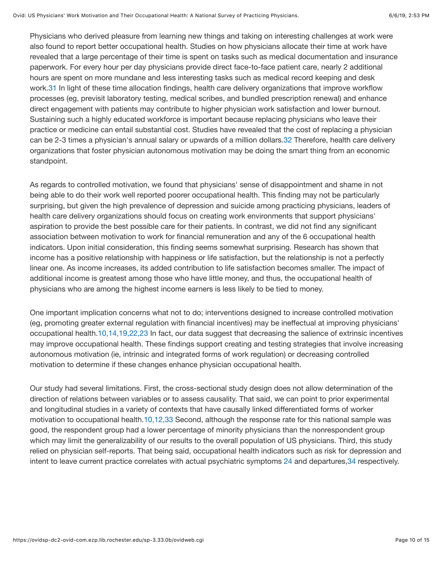<span id="page-9-0"></span>Physicians who derived pleasure from learning new things and taking on interesting challenges at work were also found to report better occupational health. Studies on how physicians allocate their time at work have revealed that a large percentage of their time is spent on tasks such as medical documentation and insurance paperwork. For every hour per day physicians provide direct face-to-face patient care, nearly 2 additional hours are spent on more mundane and less interesting tasks such as medical record keeping and desk work.[31](#page-13-1) In light of these time allocation findings, health care delivery organizations that improve workflow processes (eg, previsit laboratory testing, medical scribes, and bundled prescription renewal) and enhance direct engagement with patients may contribute to higher physician work satisfaction and lower burnout. Sustaining such a highly educated workforce is important because replacing physicians who leave their practice or medicine can entail substantial cost. Studies have revealed that the cost of replacing a physician can be 2-3 times a physician's annual salary or upwards of a million dollars[.32](#page-13-2) Therefore, health care delivery organizations that foster physician autonomous motivation may be doing the smart thing from an economic standpoint.

As regards to controlled motivation, we found that physicians' sense of disappointment and shame in not being able to do their work well reported poorer occupational health. This finding may not be particularly surprising, but given the high prevalence of depression and suicide among practicing physicians, leaders of health care delivery organizations should focus on creating work environments that support physicians' aspiration to provide the best possible care for their patients. In contrast, we did not find any significant association between motivation to work for financial remuneration and any of the 6 occupational health indicators. Upon initial consideration, this finding seems somewhat surprising. Research has shown that income has a positive relationship with happiness or life satisfaction, but the relationship is not a perfectly linear one. As income increases, its added contribution to life satisfaction becomes smaller. The impact of additional income is greatest among those who have little money, and thus, the occupational health of physicians who are among the highest income earners is less likely to be tied to money.

One important implication concerns what not to do; interventions designed to increase controlled motivation (eg, promoting greater external regulation with financial incentives) may be ineffectual at improving physicians' occupational health[.10,14,19,22,23](#page-11-2) In fact, our data suggest that decreasing the salience of extrinsic incentives may improve occupational health. These findings support creating and testing strategies that involve increasing autonomous motivation (ie, intrinsic and integrated forms of work regulation) or decreasing controlled motivation to determine if these changes enhance physician occupational health.

<span id="page-9-1"></span>Our study had several limitations. First, the cross-sectional study design does not allow determination of the direction of relations between variables or to assess causality. That said, we can point to prior experimental and longitudinal studies in a variety of contexts that have causally linked differentiated forms of worker motivation to occupational health.[10,12,33](#page-11-2) Second, although the response rate for this national sample was good, the respondent group had a lower percentage of minority physicians than the nonrespondent group which may limit the generalizability of our results to the overall population of US physicians. Third, this study relied on physician self-reports. That being said, occupational health indicators such as risk for depression and intent to leave current practice correlates with actual psychiatric symptoms [24](#page-12-4) and departures[,34](#page-13-3) respectively.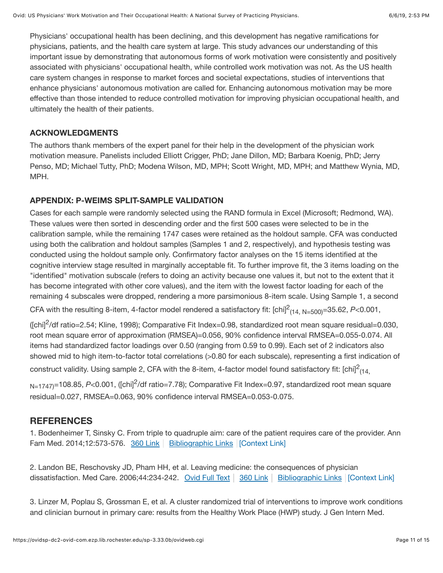Physicians' occupational health has been declining, and this development has negative ramifications for physicians, patients, and the health care system at large. This study advances our understanding of this important issue by demonstrating that autonomous forms of work motivation were consistently and positively associated with physicians' occupational health, while controlled work motivation was not. As the US health care system changes in response to market forces and societal expectations, studies of interventions that enhance physicians' autonomous motivation are called for. Enhancing autonomous motivation may be more effective than those intended to reduce controlled motivation for improving physician occupational health, and ultimately the health of their patients.

### **ACKNOWLEDGMENTS**

The authors thank members of the expert panel for their help in the development of the physician work motivation measure. Panelists included Elliott Crigger, PhD; Jane Dillon, MD; Barbara Koenig, PhD; Jerry Penso, MD; Michael Tutty, PhD; Modena Wilson, MD, MPH; Scott Wright, MD, MPH; and Matthew Wynia, MD, MPH.

### **APPENDIX: P-WEIMS SPLIT-SAMPLE VALIDATION**

Cases for each sample were randomly selected using the RAND formula in Excel (Microsoft; Redmond, WA). These values were then sorted in descending order and the first 500 cases were selected to be in the calibration sample, while the remaining 1747 cases were retained as the holdout sample. CFA was conducted using both the calibration and holdout samples (Samples 1 and 2, respectively), and hypothesis testing was conducted using the holdout sample only. Confirmatory factor analyses on the 15 items identified at the cognitive interview stage resulted in marginally acceptable fit. To further improve fit, the 3 items loading on the "identified" motivation subscale (refers to doing an activity because one values it, but not to the extent that it has become integrated with other core values), and the item with the lowest factor loading for each of the remaining 4 subscales were dropped, rendering a more parsimonious 8-item scale. Using Sample 1, a second

CFA with the resulting 8-item, 4-factor model rendered a satisfactory fit: [chi]<sup>2</sup><sub>(14, N=500)</sub>=35.62, P<0.001,

( $[chi^2$ /df ratio=2.54; Kline, 1998); Comparative Fit Index=0.98, standardized root mean square residual=0.030, root mean square error of approximation (RMSEA)=0.056, 90% confidence interval RMSEA=0.055-0.074. All items had standardized factor loadings over 0.50 (ranging from 0.59 to 0.99). Each set of 2 indicators also showed mid to high item-to-factor total correlations (>0.80 for each subscale), representing a first indication of

construct validity. Using sample 2, CFA with the 8-item, 4-factor model found satisfactory fit: [chi] $^2$ <sub>(14,</sub>

N=1747)=108.85, *P<*0.001, ([chi]<sup>2</sup>/df ratio=7.78); Comparative Fit Index=0.97, standardized root mean square residual=0.027, RMSEA=0.063, 90% confidence interval RMSEA=0.053-0.075.

### **REFERENCES**

<span id="page-10-0"></span>1. Bodenheimer T, Sinsky C. From triple to quadruple aim: care of the patient requires care of the provider. Ann Fam Med. 2014;12:573-576. [360 Link](https://ovidsp-dc2-ovid-com.ezp.lib.rochester.edu/sp-3.33.0b/ovidweb.cgi?Link+Set+Ref=00005650-201905000-00003%7C01183945_2014_12_573_bodenheimer_quadruple_%7c00005650-201905000-00003%23xpointer%28id%28R1-3%29%29%7c11171027%7chttp%3a%2f%2facs.tx.ovid.com%2facs%2f.5e98edb5a63d18669dda88d205274c554b5fc14a265fc59c8e02585d73659d4ed16a081701a6be8930f313085cf430bc9e533740779117d5f2cdc4d1131a3911ca.gif%7covftdb%7c&P=71&S=HHEDFPPJOKEBGALNIPDKNHOGLOIOAA00&WebLinkReturn=Full+Text%3dL%7cS.sh.32.33%7c0%7c00005650-201905000-00003) | [Bibliographic Links](https://ovidsp-dc2-ovid-com.ezp.lib.rochester.edu/sp-3.33.0b/ovidweb.cgi?Link+Set+Ref=00005650-201905000-00003%7C01183945_2014_12_573_bodenheimer_quadruple_%7c00005650-201905000-00003%23xpointer%28id%28R1-3%29%29%7c60%7c%7covftdb%7c&P=71&S=HHEDFPPJOKEBGALNIPDKNHOGLOIOAA00&WebLinkReturn=Full+Text%3dL%7cS.sh.32.33%7c0%7c00005650-201905000-00003)  $|$  [\[Context Link\]](#page-1-0)

2. Landon BE, Reschovsky JD, Pham HH, et al. Leaving medicine: the consequences of physician dissatisfaction. Med Care. 2006;44:234-242. [Ovid Full Text](https://ovidsp-dc2-ovid-com.ezp.lib.rochester.edu/sp-3.33.0b/ovidweb.cgi?Link+Set+Ref=00005650-201905000-00003%7C00005650_2006_44_234_landon_dissatisfaction_%7c00005650-201905000-00003%23xpointer%28id%28R2-3%29%29%7c10%7c%7covftdb%7c00005650-200603000-00006&P=72&S=HHEDFPPJOKEBGALNIPDKNHOGLOIOAA00&WebLinkReturn=Full+Text%3dL%7cS.sh.32.33%7c0%7c00005650-201905000-00003) | [360 Link](https://ovidsp-dc2-ovid-com.ezp.lib.rochester.edu/sp-3.33.0b/ovidweb.cgi?Link+Set+Ref=00005650-201905000-00003%7C00005650_2006_44_234_landon_dissatisfaction_%7c00005650-201905000-00003%23xpointer%28id%28R2-3%29%29%7c11171027%7chttp%3a%2f%2facs.tx.ovid.com%2facs%2f.5e98edb5a63d18669dda88d205274c554b5fc14a265fc59c8e02585d73659d4ed16a081701a6be8930f313085cf430bc9e533740779117d5f2cdc4d1131a3911ca.gif%7covftdb%7c00005650-200603000-00006&P=72&S=HHEDFPPJOKEBGALNIPDKNHOGLOIOAA00&WebLinkReturn=Full+Text%3dL%7cS.sh.32.33%7c0%7c00005650-201905000-00003) | [Bibliographic Links](https://ovidsp-dc2-ovid-com.ezp.lib.rochester.edu/sp-3.33.0b/ovidweb.cgi?Link+Set+Ref=00005650-201905000-00003%7C00005650_2006_44_234_landon_dissatisfaction_%7c00005650-201905000-00003%23xpointer%28id%28R2-3%29%29%7c60%7c%7covftdb%7c00005650-200603000-00006&P=72&S=HHEDFPPJOKEBGALNIPDKNHOGLOIOAA00&WebLinkReturn=Full+Text%3dL%7cS.sh.32.33%7c0%7c00005650-201905000-00003) | [\[Context Link\]](#page-1-0)

3. Linzer M, Poplau S, Grossman E, et al. A cluster randomized trial of interventions to improve work conditions and clinician burnout in primary care: results from the Healthy Work Place (HWP) study. J Gen Intern Med.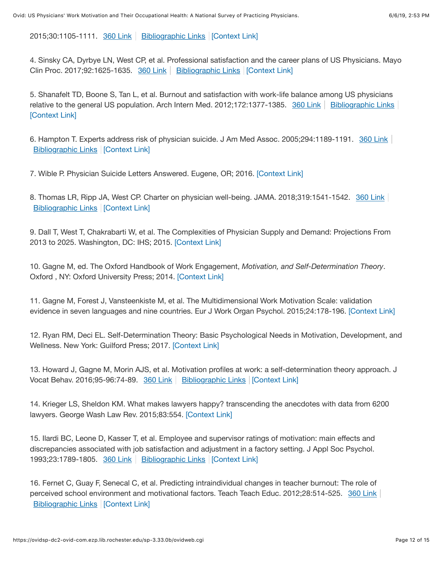2015;30:1105-1111. [360 Link](https://ovidsp-dc2-ovid-com.ezp.lib.rochester.edu/sp-3.33.0b/ovidweb.cgi?Link+Set+Ref=00005650-201905000-00003%7C00005125_2015_30_1105_linzer_interventions_%7c00005650-201905000-00003%23xpointer%28id%28R3-3%29%29%7c11171027%7chttp%3a%2f%2facs.tx.ovid.com%2facs%2f.5e98edb5a63d18669dda88d205274c554b5fc14a265fc59c8e02585d73659d4ed16a081701a6be8930f313085cf430bc9e533740779117d5f2cdc4d1131a3911ca.gif%7covftdb%7c&P=73&S=HHEDFPPJOKEBGALNIPDKNHOGLOIOAA00&WebLinkReturn=Full+Text%3dL%7cS.sh.32.33%7c0%7c00005650-201905000-00003) | [Bibliographic Links](https://ovidsp-dc2-ovid-com.ezp.lib.rochester.edu/sp-3.33.0b/ovidweb.cgi?Link+Set+Ref=00005650-201905000-00003%7C00005125_2015_30_1105_linzer_interventions_%7c00005650-201905000-00003%23xpointer%28id%28R3-3%29%29%7c60%7c%7covftdb%7c&P=73&S=HHEDFPPJOKEBGALNIPDKNHOGLOIOAA00&WebLinkReturn=Full+Text%3dL%7cS.sh.32.33%7c0%7c00005650-201905000-00003) | [\[Context Link\]](#page-1-0)

<span id="page-11-1"></span>4. Sinsky CA, Dyrbye LN, West CP, et al. Professional satisfaction and the career plans of US Physicians. Mayo Clin Proc. 2017;92:1625-1635. [360 Link](https://ovidsp-dc2-ovid-com.ezp.lib.rochester.edu/sp-3.33.0b/ovidweb.cgi?Link+Set+Ref=00005650-201905000-00003%7C00005625_2017_92_1625_sinsky_professional_%7c00005650-201905000-00003%23xpointer%28id%28R4-3%29%29%7c11171027%7chttp%3a%2f%2facs.tx.ovid.com%2facs%2f.5e98edb5a63d18669dda88d205274c554b5fc14a265fc59c8e02585d73659d4ed16a081701a6be8930f313085cf430bc9e533740779117d5f2cdc4d1131a3911ca.gif%7covftdb%7c00005625-201711000-00005&P=74&S=HHEDFPPJOKEBGALNIPDKNHOGLOIOAA00&WebLinkReturn=Full+Text%3dL%7cS.sh.32.33%7c0%7c00005650-201905000-00003) | [Bibliographic Links](https://ovidsp-dc2-ovid-com.ezp.lib.rochester.edu/sp-3.33.0b/ovidweb.cgi?Link+Set+Ref=00005650-201905000-00003%7C00005625_2017_92_1625_sinsky_professional_%7c00005650-201905000-00003%23xpointer%28id%28R4-3%29%29%7c60%7c%7covftdb%7c00005625-201711000-00005&P=74&S=HHEDFPPJOKEBGALNIPDKNHOGLOIOAA00&WebLinkReturn=Full+Text%3dL%7cS.sh.32.33%7c0%7c00005650-201905000-00003)  $|$  [\[Context Link\]](#page-1-0)

5. Shanafelt TD, Boone S, Tan L, et al. Burnout and satisfaction with work-life balance among US physicians relative to the general US population. Arch Intern Med. 2012;172:1377-1385. [360 Link](https://ovidsp-dc2-ovid-com.ezp.lib.rochester.edu/sp-3.33.0b/ovidweb.cgi?Link+Set+Ref=00005650-201905000-00003%7C00000779_2012_172_1377_shanafelt_satisfaction_%7c00005650-201905000-00003%23xpointer%28id%28R5-3%29%29%7c11171027%7chttp%3a%2f%2facs.tx.ovid.com%2facs%2f.5e98edb5a63d18669dda88d205274c554b5fc14a265fc59c8e02585d73659d4ed16a081701a6be8930f313085cf430bc9e533740779117d5f2cdc4d1131a3911ca.gif%7covftdb%7c00000779-201210080-00004&P=75&S=HHEDFPPJOKEBGALNIPDKNHOGLOIOAA00&WebLinkReturn=Full+Text%3dL%7cS.sh.32.33%7c0%7c00005650-201905000-00003) | [Bibliographic Links](https://ovidsp-dc2-ovid-com.ezp.lib.rochester.edu/sp-3.33.0b/ovidweb.cgi?Link+Set+Ref=00005650-201905000-00003%7C00000779_2012_172_1377_shanafelt_satisfaction_%7c00005650-201905000-00003%23xpointer%28id%28R5-3%29%29%7c60%7c%7covftdb%7c00000779-201210080-00004&P=75&S=HHEDFPPJOKEBGALNIPDKNHOGLOIOAA00&WebLinkReturn=Full+Text%3dL%7cS.sh.32.33%7c0%7c00005650-201905000-00003) [\[Context Link\]](#page-1-0)

- <span id="page-11-0"></span>6. Hampton T. Experts address risk of physician suicide. J Am Med Assoc. 2005;294:1189-1191. [360 Link](https://ovidsp-dc2-ovid-com.ezp.lib.rochester.edu/sp-3.33.0b/ovidweb.cgi?Link+Set+Ref=00005650-201905000-00003%7C00005407_2005_294_1189_hampton_physician_%7c00005650-201905000-00003%23xpointer%28id%28R6-3%29%29%7c11171027%7chttp%3a%2f%2facs.tx.ovid.com%2facs%2f.5e98edb5a63d18669dda88d205274c554b5fc14a265fc59c8e02585d73659d4ed16a081701a6be8930f313085cf430bc9e533740779117d5f2cdc4d1131a3911ca.gif%7covftdb%7c00005407-200509140-00004&P=76&S=HHEDFPPJOKEBGALNIPDKNHOGLOIOAA00&WebLinkReturn=Full+Text%3dL%7cS.sh.32.33%7c0%7c00005650-201905000-00003) **[Bibliographic Links](https://ovidsp-dc2-ovid-com.ezp.lib.rochester.edu/sp-3.33.0b/ovidweb.cgi?Link+Set+Ref=00005650-201905000-00003%7C00005407_2005_294_1189_hampton_physician_%7c00005650-201905000-00003%23xpointer%28id%28R6-3%29%29%7c60%7c%7covftdb%7c00005407-200509140-00004&P=76&S=HHEDFPPJOKEBGALNIPDKNHOGLOIOAA00&WebLinkReturn=Full+Text%3dL%7cS.sh.32.33%7c0%7c00005650-201905000-00003) | [\[Context Link\]](#page-1-0)**
- 7. Wible P. Physician Suicide Letters Answered. Eugene, OR; 2016. [\[Context Link\]](#page-1-0)
- <span id="page-11-7"></span>8. Thomas LR, Ripp JA, West CP. Charter on physician well-being. JAMA. 2018;319:1541-1542. [360 Link](https://ovidsp-dc2-ovid-com.ezp.lib.rochester.edu/sp-3.33.0b/ovidweb.cgi?Link+Set+Ref=00005650-201905000-00003%7C00005407_2018_319_1541_thomas_physician_%7c00005650-201905000-00003%23xpointer%28id%28R8-3%29%29%7c11171027%7chttp%3a%2f%2facs.tx.ovid.com%2facs%2f.5e98edb5a63d18669dda88d205274c554b5fc14a265fc59c8e02585d73659d4ed16a081701a6be8930f313085cf430bc9e533740779117d5f2cdc4d1131a3911ca.gif%7covftdb%7c00005407-201804170-00012&P=78&S=HHEDFPPJOKEBGALNIPDKNHOGLOIOAA00&WebLinkReturn=Full+Text%3dL%7cS.sh.32.33%7c0%7c00005650-201905000-00003) [Bibliographic Links](https://ovidsp-dc2-ovid-com.ezp.lib.rochester.edu/sp-3.33.0b/ovidweb.cgi?Link+Set+Ref=00005650-201905000-00003%7C00005407_2018_319_1541_thomas_physician_%7c00005650-201905000-00003%23xpointer%28id%28R8-3%29%29%7c60%7c%7covftdb%7c00005407-201804170-00012&P=78&S=HHEDFPPJOKEBGALNIPDKNHOGLOIOAA00&WebLinkReturn=Full+Text%3dL%7cS.sh.32.33%7c0%7c00005650-201905000-00003) | [\[Context Link\]](#page-1-0)

9. Dall T, West T, Chakrabarti W, et al. The Complexities of Physician Supply and Demand: Projections From 2013 to 2025. Washington, DC: IHS; 2015. [\[Context Link\]](#page-1-0)

<span id="page-11-2"></span>10. Gagne M, ed. The Oxford Handbook of Work Engagement, *Motivation, and Self-Determination Theory*. Oxford , NY: Oxford University Press; 2014. [\[Context Link\]](#page-2-0)

<span id="page-11-5"></span>11. Gagne M, Forest J, Vansteenkiste M, et al. The Multidimensional Work Motivation Scale: validation evidence in seven languages and nine countries. Eur J Work Organ Psychol. 2015;24:178-196. [\[Context Link\]](#page-2-0)

<span id="page-11-3"></span>12. Ryan RM, Deci EL. Self-Determination Theory: Basic Psychological Needs in Motivation, Development, and Wellness. New York: Guilford Press; 2017. [\[Context Link\]](#page-2-0)

<span id="page-11-4"></span>13. Howard J, Gagne M, Morin AJS, et al. Motivation profiles at work: a self-determination theory approach. J Vocat Behav. 2016;95-96:74-89. [360 Link](https://ovidsp-dc2-ovid-com.ezp.lib.rochester.edu/sp-3.33.0b/ovidweb.cgi?Link+Set+Ref=00005650-201905000-00003%7C00001236_2016_95_74_howard_determination_%7c00005650-201905000-00003%23xpointer%28id%28R13-3%29%29%7c11171027%7chttp%3a%2f%2facs.tx.ovid.com%2facs%2f.5e98edb5a63d18669dda88d205274c554b5fc14a265fc59c8e02585d73659d4ed16a081701a6be8930f313085cf430bc9e533740779117d5f2cdc4d1131a3911ca.gif%7covftdb%7c&P=83&S=HHEDFPPJOKEBGALNIPDKNHOGLOIOAA00&WebLinkReturn=Full+Text%3dL%7cS.sh.32.33%7c0%7c00005650-201905000-00003) | [Bibliographic Links](https://ovidsp-dc2-ovid-com.ezp.lib.rochester.edu/sp-3.33.0b/ovidweb.cgi?Link+Set+Ref=00005650-201905000-00003%7C00001236_2016_95_74_howard_determination_%7c00005650-201905000-00003%23xpointer%28id%28R13-3%29%29%7c60%7c%7covftdb%7c&P=83&S=HHEDFPPJOKEBGALNIPDKNHOGLOIOAA00&WebLinkReturn=Full+Text%3dL%7cS.sh.32.33%7c0%7c00005650-201905000-00003)  $|$  [\[Context Link\]](#page-3-0)

<span id="page-11-6"></span>14. Krieger LS, Sheldon KM. What makes lawyers happy? transcending the anecdotes with data from 6200 lawyers. George Wash Law Rev. 2015;83:554. [\[Context Link\]](#page-3-0)

15. Ilardi BC, Leone D, Kasser T, et al. Employee and supervisor ratings of motivation: main effects and discrepancies associated with job satisfaction and adjustment in a factory setting. J Appl Soc Psychol. 1993;23:1789-1805. [360 Link](https://ovidsp-dc2-ovid-com.ezp.lib.rochester.edu/sp-3.33.0b/ovidweb.cgi?Link+Set+Ref=00005650-201905000-00003%7C00001186_1993_23_1789_ilardi_discrepancies_%7c00005650-201905000-00003%23xpointer%28id%28R15-3%29%29%7c11171027%7chttp%3a%2f%2facs.tx.ovid.com%2facs%2f.5e98edb5a63d18669dda88d205274c554b5fc14a265fc59c8e02585d73659d4ed16a081701a6be8930f313085cf430bc9e533740779117d5f2cdc4d1131a3911ca.gif%7covftdb%7c&P=85&S=HHEDFPPJOKEBGALNIPDKNHOGLOIOAA00&WebLinkReturn=Full+Text%3dL%7cS.sh.32.33%7c0%7c00005650-201905000-00003) | [Bibliographic Links](https://ovidsp-dc2-ovid-com.ezp.lib.rochester.edu/sp-3.33.0b/ovidweb.cgi?Link+Set+Ref=00005650-201905000-00003%7C00001186_1993_23_1789_ilardi_discrepancies_%7c00005650-201905000-00003%23xpointer%28id%28R15-3%29%29%7c60%7c%7covftdb%7c&P=85&S=HHEDFPPJOKEBGALNIPDKNHOGLOIOAA00&WebLinkReturn=Full+Text%3dL%7cS.sh.32.33%7c0%7c00005650-201905000-00003) | [\[Context Link\]](#page-3-0)

16. Fernet C, Guay F, Senecal C, et al. Predicting intraindividual changes in teacher burnout: The role of perceived school environment and motivational factors. Teach Teach Educ. 2012;28:514-525. [360 Link](https://ovidsp-dc2-ovid-com.ezp.lib.rochester.edu/sp-3.33.0b/ovidweb.cgi?Link+Set+Ref=00005650-201905000-00003%7C00001378_2012_28_514_fernet_intraindividual_%7c00005650-201905000-00003%23xpointer%28id%28R16-3%29%29%7c11171027%7chttp%3a%2f%2facs.tx.ovid.com%2facs%2f.5e98edb5a63d18669dda88d205274c554b5fc14a265fc59c8e02585d73659d4ed16a081701a6be8930f313085cf430bc9e533740779117d5f2cdc4d1131a3911ca.gif%7covftdb%7c&P=86&S=HHEDFPPJOKEBGALNIPDKNHOGLOIOAA00&WebLinkReturn=Full+Text%3dL%7cS.sh.32.33%7c0%7c00005650-201905000-00003) [Bibliographic Links](https://ovidsp-dc2-ovid-com.ezp.lib.rochester.edu/sp-3.33.0b/ovidweb.cgi?Link+Set+Ref=00005650-201905000-00003%7C00001378_2012_28_514_fernet_intraindividual_%7c00005650-201905000-00003%23xpointer%28id%28R16-3%29%29%7c60%7c%7covftdb%7c&P=86&S=HHEDFPPJOKEBGALNIPDKNHOGLOIOAA00&WebLinkReturn=Full+Text%3dL%7cS.sh.32.33%7c0%7c00005650-201905000-00003) | [\[Context Link\]](#page-3-0)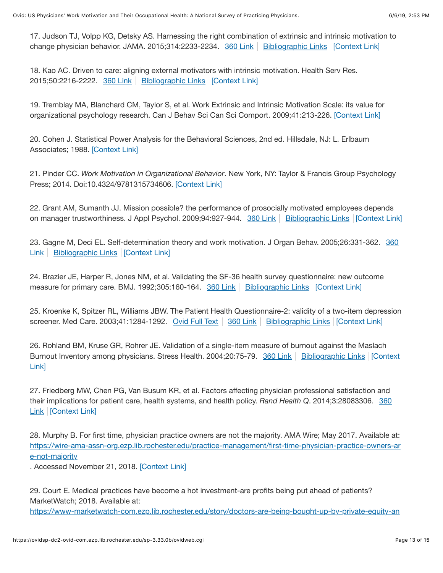17. Judson TJ, Volpp KG, Detsky AS. Harnessing the right combination of extrinsic and intrinsic motivation to change physician behavior. JAMA. 2015;314:2233-2234. [360 Link](https://ovidsp-dc2-ovid-com.ezp.lib.rochester.edu/sp-3.33.0b/ovidweb.cgi?Link+Set+Ref=00005650-201905000-00003%7C00005407_2015_314_2233_judson_combination_%7c00005650-201905000-00003%23xpointer%28id%28R17-3%29%29%7c11171027%7chttp%3a%2f%2facs.tx.ovid.com%2facs%2f.5e98edb5a63d18669dda88d205274c554b5fc14a265fc59c8e02585d73659d4ed16a081701a6be8930f313085cf430bc9e533740779117d5f2cdc4d1131a3911ca.gif%7covftdb%7c00005407-201512010-00014&P=87&S=HHEDFPPJOKEBGALNIPDKNHOGLOIOAA00&WebLinkReturn=Full+Text%3dL%7cS.sh.32.33%7c0%7c00005650-201905000-00003) | [Bibliographic Links](https://ovidsp-dc2-ovid-com.ezp.lib.rochester.edu/sp-3.33.0b/ovidweb.cgi?Link+Set+Ref=00005650-201905000-00003%7C00005407_2015_314_2233_judson_combination_%7c00005650-201905000-00003%23xpointer%28id%28R17-3%29%29%7c60%7c%7covftdb%7c00005407-201512010-00014&P=87&S=HHEDFPPJOKEBGALNIPDKNHOGLOIOAA00&WebLinkReturn=Full+Text%3dL%7cS.sh.32.33%7c0%7c00005650-201905000-00003) | [\[Context Link\]](#page-3-0)

18. Kao AC. Driven to care: aligning external motivators with intrinsic motivation. Health Serv Res. 2015;50:2216-2222. [360 Link](https://ovidsp-dc2-ovid-com.ezp.lib.rochester.edu/sp-3.33.0b/ovidweb.cgi?Link+Set+Ref=00005650-201905000-00003%7C00004036_2015_50_2216_kao_motivators_%7c00005650-201905000-00003%23xpointer%28id%28R18-3%29%29%7c11171027%7chttp%3a%2f%2facs.tx.ovid.com%2facs%2f.5e98edb5a63d18669dda88d205274c554b5fc14a265fc59c8e02585d73659d4ed16a081701a6be8930f313085cf430bc9e533740779117d5f2cdc4d1131a3911ca.gif%7covftdb%7c00004036-201512002-00007&P=88&S=HHEDFPPJOKEBGALNIPDKNHOGLOIOAA00&WebLinkReturn=Full+Text%3dL%7cS.sh.32.33%7c0%7c00005650-201905000-00003) | [Bibliographic Links](https://ovidsp-dc2-ovid-com.ezp.lib.rochester.edu/sp-3.33.0b/ovidweb.cgi?Link+Set+Ref=00005650-201905000-00003%7C00004036_2015_50_2216_kao_motivators_%7c00005650-201905000-00003%23xpointer%28id%28R18-3%29%29%7c60%7c%7covftdb%7c00004036-201512002-00007&P=88&S=HHEDFPPJOKEBGALNIPDKNHOGLOIOAA00&WebLinkReturn=Full+Text%3dL%7cS.sh.32.33%7c0%7c00005650-201905000-00003) | [\[Context Link\]](#page-3-0)

<span id="page-12-0"></span>19. Tremblay MA, Blanchard CM, Taylor S, et al. Work Extrinsic and Intrinsic Motivation Scale: its value for organizational psychology research. Can J Behav Sci Can Sci Comport. 2009;41:213-226. [\[Context Link\]](#page-3-1)

<span id="page-12-1"></span>20. Cohen J. Statistical Power Analysis for the Behavioral Sciences, 2nd ed. Hillsdale, NJ: L. Erlbaum Associates; 1988. [\[Context Link\]](#page-3-2)

<span id="page-12-2"></span>21. Pinder CC. *Work Motivation in Organizational Behavior*. New York, NY: Taylor & Francis Group Psychology Press; 2014. Doi:10.4324/9781315734606. [\[Context Link\]](#page-4-0)

<span id="page-12-3"></span>22. Grant AM, Sumanth JJ. Mission possible? the performance of prosocially motivated employees depends on manager trustworthiness. J Appl Psychol. 2009;94:927-944. [360 Link](https://ovidsp-dc2-ovid-com.ezp.lib.rochester.edu/sp-3.33.0b/ovidweb.cgi?Link+Set+Ref=00005650-201905000-00003%7C00004565_2009_94_927_grant_trustworthiness_%7c00005650-201905000-00003%23xpointer%28id%28R22-3%29%29%7c11171027%7chttp%3a%2f%2facs.tx.ovid.com%2facs%2f.5e98edb5a63d18669dda88d205274c554b5fc14a265fc59c8e02585d73659d4ed16a081701a6be8930f313085cf430bc9e533740779117d5f2cdc4d1131a3911ca.gif%7covftdb%7c00004565-200907000-00008&P=92&S=HHEDFPPJOKEBGALNIPDKNHOGLOIOAA00&WebLinkReturn=Full+Text%3dL%7cS.sh.32.33%7c0%7c00005650-201905000-00003) | [Bibliographic Links](https://ovidsp-dc2-ovid-com.ezp.lib.rochester.edu/sp-3.33.0b/ovidweb.cgi?Link+Set+Ref=00005650-201905000-00003%7C00004565_2009_94_927_grant_trustworthiness_%7c00005650-201905000-00003%23xpointer%28id%28R22-3%29%29%7c60%7c%7covftdb%7c00004565-200907000-00008&P=92&S=HHEDFPPJOKEBGALNIPDKNHOGLOIOAA00&WebLinkReturn=Full+Text%3dL%7cS.sh.32.33%7c0%7c00005650-201905000-00003) [\[Context Link\]](#page-4-0)

[23. Gagne M, Deci EL. Self-determination theory and work motivation. J Organ Behav. 2005;26:331-362. 360](https://ovidsp-dc2-ovid-com.ezp.lib.rochester.edu/sp-3.33.0b/ovidweb.cgi?Link+Set+Ref=00005650-201905000-00003%7C00001216_2005_26_331_gagne_determination_%7c00005650-201905000-00003%23xpointer%28id%28R23-3%29%29%7c11171027%7chttp%3a%2f%2facs.tx.ovid.com%2facs%2f.5e98edb5a63d18669dda88d205274c554b5fc14a265fc59c8e02585d73659d4ed16a081701a6be8930f313085cf430bc9e533740779117d5f2cdc4d1131a3911ca.gif%7covftdb%7c&P=93&S=HHEDFPPJOKEBGALNIPDKNHOGLOIOAA00&WebLinkReturn=Full+Text%3dL%7cS.sh.32.33%7c0%7c00005650-201905000-00003) Link | [Bibliographic Links](https://ovidsp-dc2-ovid-com.ezp.lib.rochester.edu/sp-3.33.0b/ovidweb.cgi?Link+Set+Ref=00005650-201905000-00003%7C00001216_2005_26_331_gagne_determination_%7c00005650-201905000-00003%23xpointer%28id%28R23-3%29%29%7c60%7c%7covftdb%7c&P=93&S=HHEDFPPJOKEBGALNIPDKNHOGLOIOAA00&WebLinkReturn=Full+Text%3dL%7cS.sh.32.33%7c0%7c00005650-201905000-00003) | [\[Context Link\]](#page-4-1)

<span id="page-12-4"></span>24. Brazier JE, Harper R, Jones NM, et al. Validating the SF-36 health survey questionnaire: new outcome measure for primary care. BMJ. 1992;305:160-164. [360 Link](https://ovidsp-dc2-ovid-com.ezp.lib.rochester.edu/sp-3.33.0b/ovidweb.cgi?Link+Set+Ref=00005650-201905000-00003%7C00002591_1992_305_160_brazier_questionnaire_%7c00005650-201905000-00003%23xpointer%28id%28R24-3%29%29%7c11171027%7chttp%3a%2f%2facs.tx.ovid.com%2facs%2f.5e98edb5a63d18669dda88d205274c554b5fc14a265fc59c8e02585d73659d4ed16a081701a6be8930f313085cf430bc9e533740779117d5f2cdc4d1131a3911ca.gif%7covftdb%7c&P=94&S=HHEDFPPJOKEBGALNIPDKNHOGLOIOAA00&WebLinkReturn=Full+Text%3dL%7cS.sh.32.33%7c0%7c00005650-201905000-00003) | [Bibliographic Links](https://ovidsp-dc2-ovid-com.ezp.lib.rochester.edu/sp-3.33.0b/ovidweb.cgi?Link+Set+Ref=00005650-201905000-00003%7C00002591_1992_305_160_brazier_questionnaire_%7c00005650-201905000-00003%23xpointer%28id%28R24-3%29%29%7c60%7c%7covftdb%7c&P=94&S=HHEDFPPJOKEBGALNIPDKNHOGLOIOAA00&WebLinkReturn=Full+Text%3dL%7cS.sh.32.33%7c0%7c00005650-201905000-00003)  $|$  [\[Context Link\]](#page-5-0)

<span id="page-12-5"></span>25. Kroenke K, Spitzer RL, Williams JBW. The Patient Health Questionnaire-2: validity of a two-item depression screener. Med Care. 2003;41:1284-1292. [Ovid Full Text](https://ovidsp-dc2-ovid-com.ezp.lib.rochester.edu/sp-3.33.0b/ovidweb.cgi?Link+Set+Ref=00005650-201905000-00003%7C00005650_2003_41_1284_kroenke_questionnaire_%7c00005650-201905000-00003%23xpointer%28id%28R25-3%29%29%7c10%7c%7covftdb%7c00005650-200311000-00008&P=95&S=HHEDFPPJOKEBGALNIPDKNHOGLOIOAA00&WebLinkReturn=Full+Text%3dL%7cS.sh.32.33%7c0%7c00005650-201905000-00003) | [360 Link](https://ovidsp-dc2-ovid-com.ezp.lib.rochester.edu/sp-3.33.0b/ovidweb.cgi?Link+Set+Ref=00005650-201905000-00003%7C00005650_2003_41_1284_kroenke_questionnaire_%7c00005650-201905000-00003%23xpointer%28id%28R25-3%29%29%7c11171027%7chttp%3a%2f%2facs.tx.ovid.com%2facs%2f.5e98edb5a63d18669dda88d205274c554b5fc14a265fc59c8e02585d73659d4ed16a081701a6be8930f313085cf430bc9e533740779117d5f2cdc4d1131a3911ca.gif%7covftdb%7c00005650-200311000-00008&P=95&S=HHEDFPPJOKEBGALNIPDKNHOGLOIOAA00&WebLinkReturn=Full+Text%3dL%7cS.sh.32.33%7c0%7c00005650-201905000-00003) | [Bibliographic Links](https://ovidsp-dc2-ovid-com.ezp.lib.rochester.edu/sp-3.33.0b/ovidweb.cgi?Link+Set+Ref=00005650-201905000-00003%7C00005650_2003_41_1284_kroenke_questionnaire_%7c00005650-201905000-00003%23xpointer%28id%28R25-3%29%29%7c60%7c%7covftdb%7c00005650-200311000-00008&P=95&S=HHEDFPPJOKEBGALNIPDKNHOGLOIOAA00&WebLinkReturn=Full+Text%3dL%7cS.sh.32.33%7c0%7c00005650-201905000-00003) | [\[Context Link\]](#page-5-0)

<span id="page-12-6"></span>26. Rohland BM, Kruse GR, Rohrer JE. Validation of a single-item measure of burnout against the Maslach [Burnout Inventory among physicians. Stress Health. 2004;20:75-79.](#page-5-0) [360 Link](https://ovidsp-dc2-ovid-com.ezp.lib.rochester.edu/sp-3.33.0b/ovidweb.cgi?Link+Set+Ref=00005650-201905000-00003%7C00130394_2004_20_75_rohland_validation_%7c00005650-201905000-00003%23xpointer%28id%28R26-3%29%29%7c11171027%7chttp%3a%2f%2facs.tx.ovid.com%2facs%2f.5e98edb5a63d18669dda88d205274c554b5fc14a265fc59c8e02585d73659d4ed16a081701a6be8930f313085cf430bc9e533740779117d5f2cdc4d1131a3911ca.gif%7covftdb%7c&P=96&S=HHEDFPPJOKEBGALNIPDKNHOGLOIOAA00&WebLinkReturn=Full+Text%3dL%7cS.sh.32.33%7c0%7c00005650-201905000-00003) | [Bibliographic Links](https://ovidsp-dc2-ovid-com.ezp.lib.rochester.edu/sp-3.33.0b/ovidweb.cgi?Link+Set+Ref=00005650-201905000-00003%7C00130394_2004_20_75_rohland_validation_%7c00005650-201905000-00003%23xpointer%28id%28R26-3%29%29%7c60%7c%7covftdb%7c&P=96&S=HHEDFPPJOKEBGALNIPDKNHOGLOIOAA00&WebLinkReturn=Full+Text%3dL%7cS.sh.32.33%7c0%7c00005650-201905000-00003) | [Context] Link]

<span id="page-12-7"></span>27. Friedberg MW, Chen PG, Van Busum KR, et al. Factors affecting physician professional satisfaction and [their implications for patient care, health systems, and health policy.](https://ovidsp-dc2-ovid-com.ezp.lib.rochester.edu/sp-3.33.0b/ovidweb.cgi?Link+Set+Ref=00005650-201905000-00003%7C01803226_2014_3__friedberg_professional_%7c00005650-201905000-00003%23xpointer%28id%28R27-3%29%29%7c11171027%7chttp%3a%2f%2facs.tx.ovid.com%2facs%2f.5e98edb5a63d18669dda88d205274c554b5fc14a265fc59c8e02585d73659d4ed16a081701a6be8930f313085cf430bc9e533740779117d5f2cdc4d1131a3911ca.gif%7covftdb%7c&P=97&S=HHEDFPPJOKEBGALNIPDKNHOGLOIOAA00&WebLinkReturn=Full+Text%3dL%7cS.sh.32.33%7c0%7c00005650-201905000-00003) *Rand Health Q*. 2014;3:28083306. 360 Link | [\[Context Link\]](#page-5-0)

<span id="page-12-8"></span>28. Murphy B. For first time, physician practice owners are not the majority. AMA Wire; May 2017. Available at: [https://wire-ama-assn-org.ezp.lib.rochester.edu/practice-management/first-time-physician-practice-owners-ar](https://wire-ama-assn-org.ezp.lib.rochester.edu/practice-management/first-time-physician-practice-owners-are-not-majority) e-not-majority

. Accessed November 21, 2018. [\[Context Link\]](#page-8-0)

<span id="page-12-9"></span>29. Court E. Medical practices have become a hot investment-are profits being put ahead of patients? MarketWatch; 2018. Available at:

[https://www-marketwatch-com.ezp.lib.rochester.edu/story/doctors-are-being-bought-up-by-private-equity-an](https://www-marketwatch-com.ezp.lib.rochester.edu/story/doctors-are-being-bought-up-by-private-equity-and-its-your-health-on-the-line-2018-06-08)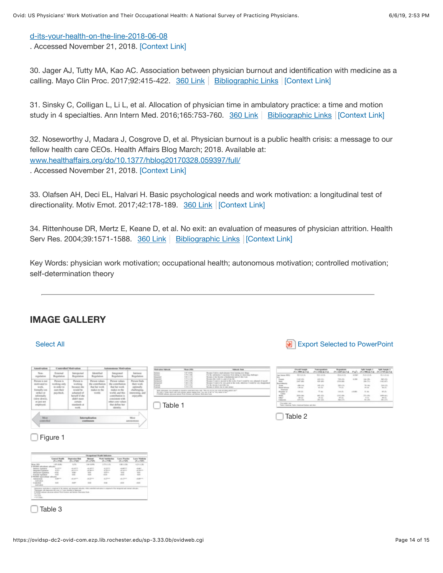### [d-its-your-health-on-the-line-2018-06-08](https://www-marketwatch-com.ezp.lib.rochester.edu/story/doctors-are-being-bought-up-by-private-equity-and-its-your-health-on-the-line-2018-06-08)

. Accessed November 21, 2018. [\[Context Link\]](#page-8-0)

<span id="page-13-0"></span>30. Jager AJ, Tutty MA, Kao AC. Association between physician burnout and identification with medicine as a calling. Mayo Clin Proc. 2017;92:415-422.  $360$  Link | [Bibliographic Links](https://ovidsp-dc2-ovid-com.ezp.lib.rochester.edu/sp-3.33.0b/ovidweb.cgi?Link+Set+Ref=00005650-201905000-00003%7C00005625_2017_92_415_jager_identification_%7c00005650-201905000-00003%23xpointer%28id%28R30-3%29%29%7c60%7c%7covftdb%7c00005625-201703000-00012&P=100&S=HHEDFPPJOKEBGALNIPDKNHOGLOIOAA00&WebLinkReturn=Full+Text%3dL%7cS.sh.32.33%7c0%7c00005650-201905000-00003) [\[Context Link\]](#page-8-0)

<span id="page-13-1"></span>31. Sinsky C, Colligan L, Li L, et al. Allocation of physician time in ambulatory practice: a time and motion study in 4 specialties. Ann Intern Med. 2016;165:753-760. [360 Link](https://ovidsp-dc2-ovid-com.ezp.lib.rochester.edu/sp-3.33.0b/ovidweb.cgi?Link+Set+Ref=00005650-201905000-00003%7C00000605_2016_165_753_sinsky_specialties_%7c00005650-201905000-00003%23xpointer%28id%28R31-3%29%29%7c11171027%7chttp%3a%2f%2facs.tx.ovid.com%2facs%2f.5e98edb5a63d18669dda88d205274c554b5fc14a265fc59c8e02585d73659d4ed16a081701a6be8930f313085cf430bc9e533740779117d5f2cdc4d1131a3911ca.gif%7covftdb%7c00000605-201612060-00002&P=101&S=HHEDFPPJOKEBGALNIPDKNHOGLOIOAA00&WebLinkReturn=Full+Text%3dL%7cS.sh.32.33%7c0%7c00005650-201905000-00003) | [Bibliographic Links](https://ovidsp-dc2-ovid-com.ezp.lib.rochester.edu/sp-3.33.0b/ovidweb.cgi?Link+Set+Ref=00005650-201905000-00003%7C00000605_2016_165_753_sinsky_specialties_%7c00005650-201905000-00003%23xpointer%28id%28R31-3%29%29%7c60%7c%7covftdb%7c00000605-201612060-00002&P=101&S=HHEDFPPJOKEBGALNIPDKNHOGLOIOAA00&WebLinkReturn=Full+Text%3dL%7cS.sh.32.33%7c0%7c00005650-201905000-00003) | [\[Context Link\]](#page-9-0)

<span id="page-13-2"></span>32. Noseworthy J, Madara J, Cosgrove D, et al. Physician burnout is a public health crisis: a message to our fellow health care CEOs. Health Affairs Blog March; 2018. Available at: www.healthaff[airs.org/do/10.1377/hblog20170328.059397/full/](http://www.healthaffairs.org.ezp.lib.rochester.edu/do/10.1377/hblog20170328.059397/full/) . Accessed November 21, 2018. [\[Context Link\]](#page-9-0)

33. Olafsen AH, Deci EL, Halvari H. Basic psychological needs and work motivation: a longitudinal test of directionality. Motiv Emot. 2017;42:178-189. [360 Link](https://ovidsp-dc2-ovid-com.ezp.lib.rochester.edu/sp-3.33.0b/ovidweb.cgi?Link+Set+Ref=00005650-201905000-00003%7C00011208_2017_42_178_olafsen_directionality_%7c00005650-201905000-00003%23xpointer%28id%28R33-3%29%29%7c11171027%7chttp%3a%2f%2facs.tx.ovid.com%2facs%2f.5e98edb5a63d18669dda88d205274c554b5fc14a265fc59c8e02585d73659d4ed16a081701a6be8930f313085cf430bc9e533740779117d5f2cdc4d1131a3911ca.gif%7covftdb%7c&P=103&S=HHEDFPPJOKEBGALNIPDKNHOGLOIOAA00&WebLinkReturn=Full+Text%3dL%7cS.sh.32.33%7c0%7c00005650-201905000-00003) [\[Context Link\]](#page-9-1)

<span id="page-13-3"></span>34. Rittenhouse DR, Mertz E, Keane D, et al. No exit: an evaluation of measures of physician attrition. Health Serv Res. 2004;39:1571-1588. [360 Link](https://ovidsp-dc2-ovid-com.ezp.lib.rochester.edu/sp-3.33.0b/ovidweb.cgi?Link+Set+Ref=00005650-201905000-00003%7C00004036_2004_39_1571_rittenhouse_evaluation_%7c00005650-201905000-00003%23xpointer%28id%28R34-3%29%29%7c11171027%7chttp%3a%2f%2facs.tx.ovid.com%2facs%2f.5e98edb5a63d18669dda88d205274c554b5fc14a265fc59c8e02585d73659d4ed16a081701a6be8930f313085cf430bc9e533740779117d5f2cdc4d1131a3911ca.gif%7covftdb%7c00004036-200410000-00020&P=104&S=HHEDFPPJOKEBGALNIPDKNHOGLOIOAA00&WebLinkReturn=Full+Text%3dL%7cS.sh.32.33%7c0%7c00005650-201905000-00003) | [Bibliographic Links](https://ovidsp-dc2-ovid-com.ezp.lib.rochester.edu/sp-3.33.0b/ovidweb.cgi?Link+Set+Ref=00005650-201905000-00003%7C00004036_2004_39_1571_rittenhouse_evaluation_%7c00005650-201905000-00003%23xpointer%28id%28R34-3%29%29%7c60%7c%7covftdb%7c00004036-200410000-00020&P=104&S=HHEDFPPJOKEBGALNIPDKNHOGLOIOAA00&WebLinkReturn=Full+Text%3dL%7cS.sh.32.33%7c0%7c00005650-201905000-00003) | [\[Context Link\]](#page-9-1)

Key Words: physician work motivation; occupational health; autonomous motivation; controlled motivation; self-determination theory

# **IMAGE GALLERY**

#### [Select All](https://ovidsp-dc2-ovid-com.ezp.lib.rochester.edu/sp-3.33.0b/ovidweb.cgi?&S=HHEDFPPJOKEBGALNIPDKNHOGLOIOAA00&Full+Text=L%7cS.sh.32.33%7c0%7c00005650-201905000-00003&image_gallery_select=selectall&resultset=S.sh.32%7c1) **Select All** Export Selected to PowerPoint

| <b>Ladiers</b>       | <b>Matrates Nillands</b> | Mount (NBN)                                                        | <b>Salesville Book</b>                                                                                                                                                                                       |
|----------------------|--------------------------|--------------------------------------------------------------------|--------------------------------------------------------------------------------------------------------------------------------------------------------------------------------------------------------------|
| Repulation           |                          | <b>USE AN</b>                                                      | Records Cabobic mach pleasure from lacening ours delays.<br>or the substitution 1 experience three-temper<br>area this work is a ball of                                                                     |
| <b>Forscar Grads</b> |                          | 5.7.4<br><b>B.O.M</b><br><b>ATTN: AN</b><br><b>Automatic State</b> | cases I want to recover in this work. If not I would<br>called 5 to all to Tell Lette at the faces. All entire it is said to<br>or the income is providen my<br>Books it afters by 6 cars more               |
|                      |                          | PASSE alus Aves wher his time al time brings too                   | A contract the country is control and contract the control of the control of the control of the control of the<br>We sale a furnitured cold criticisms series many for furniture of an furniture of the cold |

|   | <b>Church</b><br>CLA PRO BUTLE | (No think most   | (No. Eleft in civil)           | Park. | $7-8$        | <b>PLUTHELS</b><br>CH. |
|---|--------------------------------|------------------|--------------------------------|-------|--------------|------------------------|
|   | <b>ATLANTA By</b>              | <b>KED ALLAS</b> | All-Avila 24                   | 4.534 | Rock and Re- | RLEATER                |
|   |                                |                  | 126 (10)<br><b>LIGHT THEFT</b> | 4.246 |              | <b>AT AF</b>           |
|   |                                |                  | 먹았                             |       |              | 먹었                     |
|   |                                | <b>Distant</b>   | <b>CALL AND</b>                |       | to an        | of ch                  |
| ≕ |                                |                  | at its                         |       | 1.0          |                        |

Table 1

 $\Box$  Table 2

| <b>Larry Franks</b><br><b>Work Installation</b><br>$Ch = FMP$<br>(5.47736)<br>3.75 (0.4%)<br>1.00 - 1.00 | <b>Loris Modeler</b><br>$Ch = TMD$<br>4.05 (0.06)                                                                               |
|----------------------------------------------------------------------------------------------------------|---------------------------------------------------------------------------------------------------------------------------------|
|                                                                                                          |                                                                                                                                 |
|                                                                                                          |                                                                                                                                 |
|                                                                                                          |                                                                                                                                 |
| Accom<br>--<br>F<br><b>Time</b><br>11                                                                    | Ë                                                                                                                               |
|                                                                                                          |                                                                                                                                 |
|                                                                                                          | do player with                                                                                                                  |
|                                                                                                          | $\frac{1}{2}$                                                                                                                   |
|                                                                                                          | 4.25 -<br>all clients<br>$+10$<br>th for<br>while controlled sentimates is comprised at the interpreted and constant selection. |

 $\Box$  Table 3

Figure 1